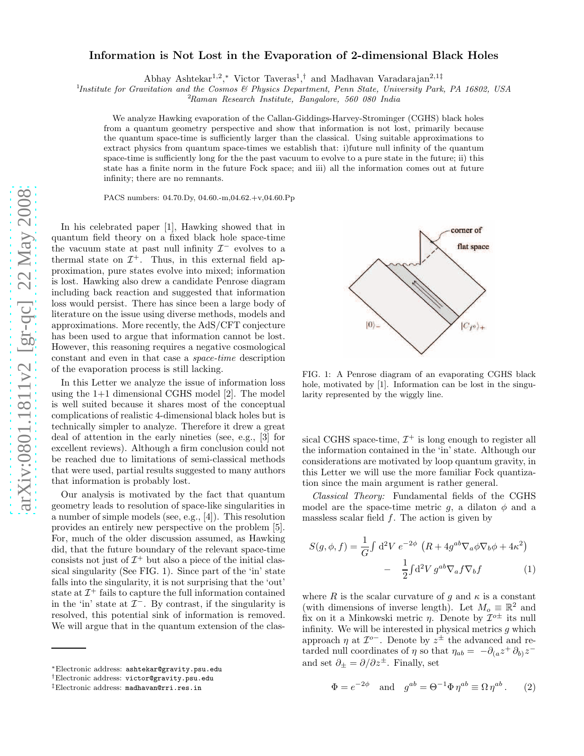## arXiv:0801.1811v2 [gr-qc] 22 May 2008 [arXiv:0801.1811v2 \[gr-qc\] 22 May 2008](http://arxiv.org/abs/0801.1811v2)

## Information is Not Lost in the Evaporation of 2-dimensional Black Holes

Abhay Ashtekar<sup>1,2</sup>,\* Victor Taveras<sup>1</sup>,<sup>†</sup> and Madhavan Varadarajan<sup>2,1‡</sup>

<sup>1</sup>Institute for Gravitation and the Cosmos & Physics Department, Penn State, University Park, PA 16802, USA

<sup>2</sup>Raman Research Institute, Bangalore, 560 080 India

We analyze Hawking evaporation of the Callan-Giddings-Harvey-Strominger (CGHS) black holes from a quantum geometry perspective and show that information is not lost, primarily because the quantum space-time is sufficiently larger than the classical. Using suitable approximations to extract physics from quantum space-times we establish that: i)future null infinity of the quantum space-time is sufficiently long for the the past vacuum to evolve to a pure state in the future; ii) this state has a finite norm in the future Fock space; and iii) all the information comes out at future infinity; there are no remnants.

PACS numbers: 04.70.Dy, 04.60.-m,04.62.+v,04.60.Pp

In his celebrated paper [1], Hawking showed that in quantum field theory on a fixed black hole space-time the vacuum state at past null infinity  $\mathcal{I}^-$  evolves to a thermal state on  $\mathcal{I}^+$ . Thus, in this external field approximation, pure states evolve into mixed; information is lost. Hawking also drew a candidate Penrose diagram including back reaction and suggested that information loss would persist. There has since been a large body of literature on the issue using diverse methods, models and approximations. More recently, the AdS/CFT conjecture has been used to argue that information cannot be lost. However, this reasoning requires a negative cosmological constant and even in that case a space-time description of the evaporation process is still lacking.

In this Letter we analyze the issue of information loss using the 1+1 dimensional CGHS model [2]. The model is well suited because it shares most of the conceptual complications of realistic 4-dimensional black holes but is technically simpler to analyze. Therefore it drew a great deal of attention in the early nineties (see, e.g., [3] for excellent reviews). Although a firm conclusion could not be reached due to limitations of semi-classical methods that were used, partial results suggested to many authors that information is probably lost.

Our analysis is motivated by the fact that quantum geometry leads to resolution of space-like singularities in a number of simple models (see, e.g., [4]). This resolution provides an entirely new perspective on the problem [5]. For, much of the older discussion assumed, as Hawking did, that the future boundary of the relevant space-time consists not just of  $\mathcal{I}^+$  but also a piece of the initial classical singularity (See FIG. 1). Since part of the 'in' state falls into the singularity, it is not surprising that the 'out' state at  $\mathcal{I}^+$  fails to capture the full information contained in the 'in' state at  $\mathcal{I}^-$ . By contrast, if the singularity is resolved, this potential sink of information is removed. We will argue that in the quantum extension of the clas-



FIG. 1: A Penrose diagram of an evaporating CGHS black hole, motivated by [1]. Information can be lost in the singularity represented by the wiggly line.

sical CGHS space-time,  $\mathcal{I}^+$  is long enough to register all the information contained in the 'in' state. Although our considerations are motivated by loop quantum gravity, in this Letter we will use the more familiar Fock quantization since the main argument is rather general.

Classical Theory: Fundamental fields of the CGHS model are the space-time metric q, a dilaton  $\phi$  and a massless scalar field  $f$ . The action is given by

$$
S(g, \phi, f) = \frac{1}{G} \int d^2 V e^{-2\phi} \left( R + 4g^{ab} \nabla_a \phi \nabla_b \phi + 4\kappa^2 \right)
$$

$$
- \frac{1}{2} \int d^2 V g^{ab} \nabla_a f \nabla_b f \tag{1}
$$

where R is the scalar curvature of g and  $\kappa$  is a constant (with dimensions of inverse length). Let  $M_o \equiv \mathbb{R}^2$  and fix on it a Minkowski metric  $\eta$ . Denote by  $\mathcal{I}^{o\pm}$  its null infinity. We will be interested in physical metrics  $g$  which approach  $\eta$  at  $\mathcal{I}^{o-}$ . Denote by  $z^{\pm}$  the advanced and retarded null coordinates of  $\eta$  so that  $\eta_{ab} = -\partial_{(a}z^+ \partial_{b)} z^$ and set  $\partial_+ = \partial/\partial z^{\pm}$ . Finally, set

$$
\Phi = e^{-2\phi} \quad \text{and} \quad g^{ab} = \Theta^{-1} \Phi \eta^{ab} \equiv \Omega \eta^{ab} . \tag{2}
$$

<sup>∗</sup>Electronic address: ashtekar@gravity.psu.edu

<sup>†</sup>Electronic address: victor@gravity.psu.edu

<sup>‡</sup>Electronic address: madhavan@rri.res.in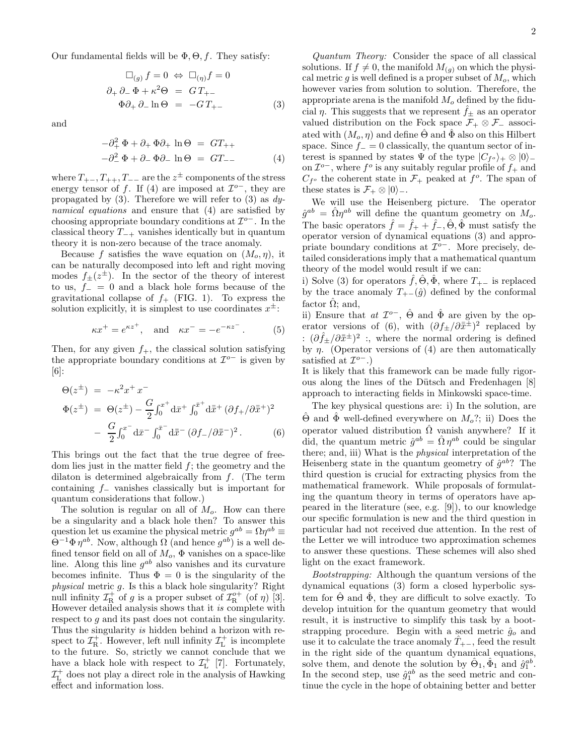Our fundamental fields will be  $\Phi$ ,  $\Theta$ ,  $f$ . They satisfy:

$$
\Box_{(g)} f = 0 \Leftrightarrow \Box_{(\eta)} f = 0
$$
  

$$
\partial_+ \partial_- \Phi + \kappa^2 \Theta = GT_{+-}
$$
  

$$
\Phi \partial_+ \partial_- \ln \Theta = -GT_{+-}
$$
 (3)

and

$$
-\partial_+^2 \Phi + \partial_+ \Phi \partial_+ \ln \Theta = GT_{++}
$$
  

$$
-\partial_-^2 \Phi + \partial_- \Phi \partial_- \ln \Theta = GT_{--}
$$
 (4)

where  $T_{+-}, T_{++}, T_{--}$  are the  $z^{\pm}$  components of the stress energy tensor of f. If (4) are imposed at  $\mathcal{I}^{\circ-}$ , they are propagated by  $(3)$ . Therefore we will refer to  $(3)$  as dynamical equations and ensure that (4) are satisfied by choosing appropriate boundary conditions at  $\mathcal{I}^{o-}$ . In the classical theory  $T_{-+}$  vanishes identically but in quantum theory it is non-zero because of the trace anomaly.

Because f satisfies the wave equation on  $(M_o, \eta)$ , it can be naturally decomposed into left and right moving modes  $f_{\pm}(z^{\pm})$ . In the sector of the theory of interest to us,  $f_-=0$  and a black hole forms because of the gravitational collapse of  $f_+$  (FIG. 1). To express the solution explicitly, it is simplest to use coordinates  $x^{\pm}$ :

$$
\kappa x^+ = e^{\kappa z^+}, \quad \text{and} \quad \kappa x^- = -e^{-\kappa z^-}.
$$
 (5)

Then, for any given  $f_{+}$ , the classical solution satisfying the appropriate boundary conditions at  $\mathcal{I}^{o-}$  is given by [6]:

$$
\Theta(z^{\pm}) = -\kappa^2 x^+ x^-
$$
  
\n
$$
\Phi(z^{\pm}) = \Theta(z^{\pm}) - \frac{G}{2} \int_0^{x^+} d\bar{x}^+ \int_0^{\bar{x}^+} d\bar{x}^+ (\partial f_+ / \partial \bar{x}^+)^2
$$
  
\n
$$
- \frac{G}{2} \int_0^{x^-} d\bar{x}^- \int_0^{\bar{x}^-} d\bar{x}^- (\partial f_- / \partial \bar{x}^-)^2.
$$
 (6)

This brings out the fact that the true degree of freedom lies just in the matter field f; the geometry and the dilaton is determined algebraically from  $f$ . (The term containing  $f_$  vanishes classically but is important for quantum considerations that follow.)

The solution is regular on all of  $M<sub>o</sub>$ . How can there be a singularity and a black hole then? To answer this question let us examine the physical metric  $g^{ab} = \Omega \eta^{ab} \equiv$  $\Theta^{-1} \Phi \eta^{ab}$ . Now, although  $\Omega$  (and hence  $g^{ab}$ ) is a well defined tensor field on all of  $M_o$ ,  $\Phi$  vanishes on a space-like line. Along this line  $g^{ab}$  also vanishes and its curvature becomes infinite. Thus  $\Phi = 0$  is the singularity of the physical metric g. Is this a black hole singularity? Right null infinity  $\mathcal{I}^+_R$  of g is a proper subset of  $\mathcal{I}^{o+}_R$  (of  $\eta$ ) [3]. However detailed analysis shows that it is complete with respect to g and its past does not contain the singularity. Thus the singularity is hidden behind a horizon with respect to  $\mathcal{I}_{\mathrm{R}}^{+}$ . However, left null infinity  $\mathcal{I}_{\mathrm{L}}^{+}$  is incomplete to the future. So, strictly we cannot conclude that we have a black hole with respect to  $\mathcal{I}_{\rm L}^+$  [7]. Fortunately,  $\mathcal{I}^+_{\text{L}}$  does not play a direct role in the analysis of Hawking effect and information loss.

Quantum Theory: Consider the space of all classical solutions. If  $f \neq 0$ , the manifold  $M_{(g)}$  on which the physical metric  $q$  is well defined is a proper subset of  $M_o$ , which however varies from solution to solution. Therefore, the appropriate arena is the manifold  $M<sub>o</sub>$  defined by the fiducial  $\eta$ . This suggests that we represent  $\hat{f}_+$  as an operator valued distribution on the Fock space  $\mathcal{F}_+ \otimes \mathcal{F}_-$  associated with  $(M_o, \eta)$  and define  $\Theta$  and  $\Phi$  also on this Hilbert space. Since  $f_ - = 0$  classically, the quantum sector of interest is spanned by states  $\Psi$  of the type  $|C_{f} \circ \rangle_+ \otimes |0\rangle_$ on  $\mathcal{I}^{o-}$ , where  $f^o$  is any suitably regular profile of  $f_+$  and  $C_{f^o}$  the coherent state in  $\mathcal{F}_+$  peaked at  $f^o$ . The span of these states is  $\mathcal{F}_+ \otimes |0\rangle$ .

We will use the Heisenberg picture. The operator  $\hat{g}^{ab} = \hat{\Omega} \eta^{ab}$  will define the quantum geometry on  $M_o$ . The basic operators  $\hat{f} = \hat{f}_+ + \hat{f}_-, \hat{\Theta}, \hat{\Phi}$  must satisfy the operator version of dynamical equations (3) and appropriate boundary conditions at  $\mathcal{I}^{o-}$ . More precisely, detailed considerations imply that a mathematical quantum theory of the model would result if we can:

i) Solve (3) for operators  $\hat{f}, \hat{\Theta}, \hat{\Phi}$ , where  $T_{+-}$  is replaced by the trace anomaly  $T_{+-}(\hat{g})$  defined by the conformal factor  $\hat{\Omega}$ ; and,

ii) Ensure that  $at \mathcal{I}^o$ ,  $\hat{\Theta}$  and  $\hat{\Phi}$  are given by the operator versions of (6), with  $(\partial f_{\pm}/\partial \bar{x}^{\pm})^2$  replaced by :  $(\partial \hat{f}_\pm / \partial \bar{x}^\pm)^2$  :, where the normal ordering is defined by  $\eta$ . (Operator versions of (4) are then automatically satisfied at  $\mathcal{I}^{o-}.$ 

It is likely that this framework can be made fully rigorous along the lines of the Dütsch and Fredenhagen [8] approach to interacting fields in Minkowski space-time.

The key physical questions are: i) In the solution, are  $\Theta$  and  $\Phi$  well-defined everywhere on  $M_o$ ?; ii) Does the operator valued distribution  $\hat{\Omega}$  vanish anywhere? If it did, the quantum metric  $\hat{g}^{ab} = \hat{\Omega} \eta^{ab}$  could be singular there; and, iii) What is the physical interpretation of the Heisenberg state in the quantum geometry of  $\hat{g}^{ab}$ ? The third question is crucial for extracting physics from the mathematical framework. While proposals of formulating the quantum theory in terms of operators have appeared in the literature (see, e.g. [9]), to our knowledge our specific formulation is new and the third question in particular had not received due attention. In the rest of the Letter we will introduce two approximation schemes to answer these questions. These schemes will also shed light on the exact framework.

Bootstrapping: Although the quantum versions of the dynamical equations (3) form a closed hyperbolic system for  $\hat{\Theta}$  and  $\hat{\Phi}$ , they are difficult to solve exactly. To develop intuition for the quantum geometry that would result, it is instructive to simplify this task by a bootstrapping procedure. Begin with a seed metric  $\hat{g}_o$  and use it to calculate the trace anomaly  $\hat{T}_{+-}$ , feed the result in the right side of the quantum dynamical equations, solve them, and denote the solution by  $\hat{\Theta}_1$ ,  $\hat{\Phi}_1$  and  $\hat{g}_1^{ab}$ . In the second step, use  $\hat{g}_1^{ab}$  as the seed metric and continue the cycle in the hope of obtaining better and better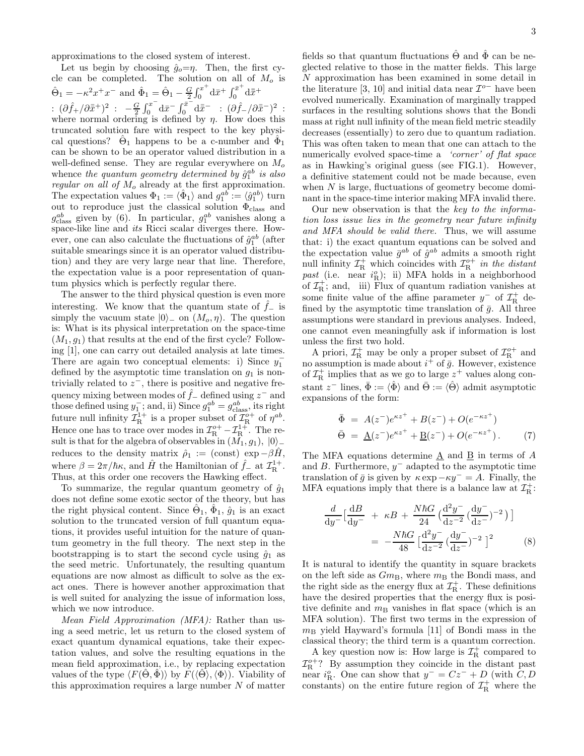approximations to the closed system of interest.

Let us begin by choosing  $\hat{g}_o=\eta$ . Then, the first cycle can be completed. The solution on all of  $M_o$  is  $\hat{\Theta}_1 = -\kappa^2 x^+ x^-$  and  $\hat{\Phi}_1 = \hat{\Theta}_1 - \frac{G}{2} \int_0^{x^+}$  $\int_0^{x^+} d\bar{x}^+ \int_0^{\bar{x}^+}$  $\int_0^x \mathrm{d}\bar{x}^+$ :  $(\partial \hat{f}_+ / \partial \bar{x}^+)^2$  :  $-\frac{G}{2} \int_0^{x^-}$  $\int_0^{x^-} d\bar{x}^- \int_0^{\bar{x}^-}$  $\begin{bmatrix} 0\bar{x}^- \ \mathrm{d}\bar{x}^- \end{bmatrix} \colon (\partial \hat{f}_-/\partial \bar{\bar{x}}^-)^2 \: :$ where normal ordering is defined by  $\eta$ . How does this truncated solution fare with respect to the key physical questions?  $\hat{\Theta}_1$  happens to be a c-number and  $\hat{\Phi}_1$ can be shown to be an operator valued distribution in a well-defined sense. They are regular everywhere on  $M_o$ whence the quantum geometry determined by  $\hat{g}_1^{ab}$  is also regular on all of  $M<sub>o</sub>$  already at the first approximation. The expectation values  $\Phi_1 := \langle \hat{\Phi}_1 \rangle$  and  $g_1^{ab} := \langle \hat{g}_1^{ab} \rangle$  turn out to reproduce just the classical solution  $\Phi_{\text{class}}$  and  $g_{\text{class}}^{ab}$  given by (6). In particular,  $g_1^{ab}$  vanishes along a space-like line and its Ricci scalar diverges there. However, one can also calculate the fluctuations of  $\hat{g}_1^{ab}$  (after suitable smearings since it is an operator valued distribution) and they are very large near that line. Therefore, the expectation value is a poor representation of quantum physics which is perfectly regular there.

The answer to the third physical question is even more interesting. We know that the quantum state of  $\hat{f}_-$  is simply the vacuum state  $|0\rangle$  on  $(M_o, \eta)$ . The question is: What is its physical interpretation on the space-time  $(M_1, g_1)$  that results at the end of the first cycle? Following [1], one can carry out detailed analysis at late times. There are again two conceptual elements: i) Since  $y_1^$ defined by the asymptotic time translation on  $g_1$  is nontrivially related to  $z^-$ , there is positive and negative frequency mixing between modes of  $\hat{f}_-$  defined using  $z^-$  and those defined using  $y_1^-$ ; and, ii) Since  $g_1^{ab} = g_{\text{class}}^{ab}$ , its right future null infinity  $\mathcal{I}_{\text{R}}^{1+}$  is a proper subset of  $\mathcal{I}_{\text{R}}^{\text{o}+}$  of  $\eta^{ab}$ . Hence one has to trace over modes in  $\mathcal{I}_R^{o+} - \mathcal{I}_R^{1+}$ . The result is that for the algebra of observables in  $(\tilde{M_1}, g_1), |0\rangle$ <sub>−</sub> reduces to the density matrix  $\hat{\rho}_1 := (\text{const}) \exp{-\beta \hat{H}}$ , where  $\beta = 2\pi/\hbar\kappa$ , and  $\hat{H}$  the Hamiltonian of  $\hat{f}_-$  at  $\mathcal{I}_R^{1+}$ . Thus, at this order one recovers the Hawking effect.

To summarize, the regular quantum geometry of  $\hat{g}_1$ does not define some exotic sector of the theory, but has the right physical content. Since  $\hat{\Theta}_1$ ,  $\hat{\Phi}_1$ ,  $\hat{g}_1$  is an exact solution to the truncated version of full quantum equations, it provides useful intuition for the nature of quantum geometry in the full theory. The next step in the bootstrapping is to start the second cycle using  $\hat{q}_1$  as the seed metric. Unfortunately, the resulting quantum equations are now almost as difficult to solve as the exact ones. There is however another approximation that is well suited for analyzing the issue of information loss, which we now introduce.

Mean Field Approximation (MFA): Rather than using a seed metric, let us return to the closed system of exact quantum dynamical equations, take their expectation values, and solve the resulting equations in the mean field approximation, i.e., by replacing expectation values of the type  $\langle F(\Theta, \Phi) \rangle$  by  $F(\langle \Theta \rangle, \langle \Phi \rangle)$ . Viability of this approximation requires a large number  $N$  of matter

fields so that quantum fluctuations  $\hat{\Theta}$  and  $\hat{\Phi}$  can be neglected relative to those in the matter fields. This large N approximation has been examined in some detail in the literature [3, 10] and initial data near  $\mathcal{I}^{o-}$  have been evolved numerically. Examination of marginally trapped surfaces in the resulting solutions shows that the Bondi mass at right null infinity of the mean field metric steadily decreases (essentially) to zero due to quantum radiation. This was often taken to mean that one can attach to the numerically evolved space-time a *'corner' of flat space* as in Hawking's original guess (see FIG.1). However, a definitive statement could not be made because, even when  $N$  is large, fluctuations of geometry become dominant in the space-time interior making MFA invalid there.

Our new observation is that the key to the information loss issue lies in the geometry near future infinity and MFA should be valid there. Thus, we will assume that: i) the exact quantum equations can be solved and the expectation value  $\bar{g}^{ab}$  of  $\hat{g}^{ab}$  admits a smooth right null infinity  $\mathcal{I}_R^+$  which coincides with  $\mathcal{I}_R^{o+}$  in the distant past (i.e. near  $i_{\rm R}^o$ ); ii) MFA holds in a neighborhood of  $\mathcal{I}_{\mathrm{R}}^{+}$ ; and, iii) Flux of quantum radiation vanishes at some finite value of the affine parameter  $y^-$  of  $\mathcal{I}^+_{\rm R}$  defined by the asymptotic time translation of  $\bar{g}$ . All three assumptions were standard in previous analyses. Indeed, one cannot even meaningfully ask if information is lost unless the first two hold.

A priori,  $\mathcal{I}^+_R$  may be only a proper subset of  $\mathcal{I}^{o+}_R$  and no assumption is made about  $i^+$  of  $\bar{g}$ . However, existence of  $\mathcal{I}_{\rm R}^+$  implies that as we go to large  $z^+$  values along constant  $z^-$  lines,  $\bar{\Phi} := \langle \hat{\Phi} \rangle$  and  $\bar{\Theta} := \langle \hat{\Theta} \rangle$  admit asymptotic expansions of the form:

$$
\begin{aligned}\n\bar{\Phi} &= A(z^-) e^{\kappa z^+} + B(z^-) + O(e^{-\kappa z^+}) \\
\bar{\Theta} &= \underline{A}(z^-) e^{\kappa z^+} + \underline{B}(z^-) + O(e^{-\kappa z^+}).\n\end{aligned} (7)
$$

The MFA equations determine  $\underline{A}$  and  $\underline{B}$  in terms of A and  $B$ . Furthermore,  $y^-$  adapted to the asymptotic time translation of  $\bar{g}$  is given by  $\kappa \exp(-\kappa y^- = A$ . Finally, the MFA equations imply that there is a balance law at  $\mathcal{I}^+_R$ :

$$
\frac{d}{dy^{-}}\left[\frac{dB}{dy^{-}} + \kappa B + \frac{N\hbar G}{24} \left(\frac{d^{2}y^{-}}{dz^{-2}}\left(\frac{dy^{-}}{dz^{-}}\right)^{-2}\right)\right] \n= -\frac{N\hbar G}{48} \left[\frac{d^{2}y^{-}}{dz^{-2}}\left(\frac{dy^{-}}{dz^{-}}\right)^{-2}\right]^{2}
$$
\n(8)

It is natural to identify the quantity in square brackets on the left side as  $Gm_B$ , where  $m_B$  the Bondi mass, and the right side as the energy flux at  $\mathcal{I}_{\mathrm{R}}^{+}$ . These definitions have the desired properties that the energy flux is positive definite and  $m<sub>B</sub>$  vanishes in flat space (which is an MFA solution). The first two terms in the expression of  $m<sub>B</sub>$  yield Hayward's formula [11] of Bondi mass in the classical theory; the third term is a quantum correction.

A key question now is: How large is  $\mathcal{I}^+_R$  compared to  $\mathcal{I}_R^{o+}$ ? By assumption they coincide in the distant past near  $i_{\rm R}^o$ . One can show that  $y^- = Cz^- + D$  (with  $C, D$ constants) on the entire future region of  $\mathcal{I}^+_R$  where the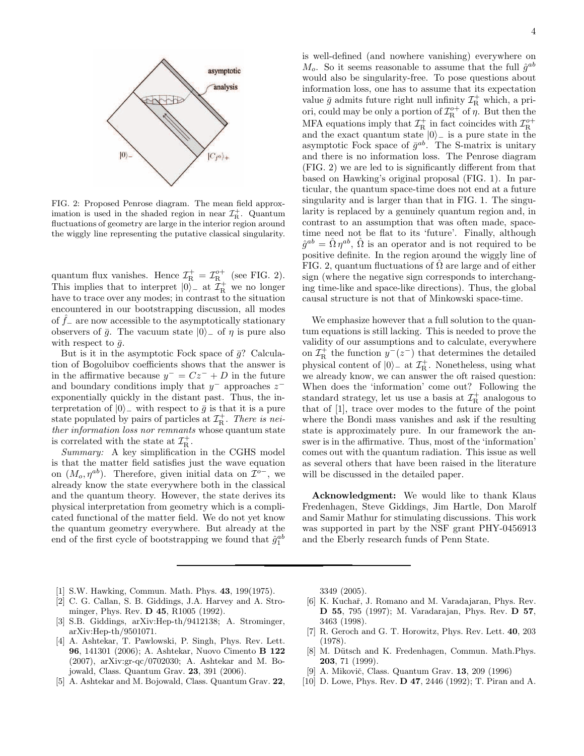

FIG. 2: Proposed Penrose diagram. The mean field approximation is used in the shaded region in near  $\mathcal{I}^+_R$ . Quantum fluctuations of geometry are large in the interior region around the wiggly line representing the putative classical singularity.

quantum flux vanishes. Hence  $\mathcal{I}^+_R = \mathcal{I}^{o+}_R$  (see FIG. 2). This implies that to interpret  $|0\rangle$  at  $\mathcal{I}^+_R$  we no longer have to trace over any modes; in contrast to the situation encountered in our bootstrapping discussion, all modes of  $\hat{f}_-$  are now accessible to the asymptotically stationary observers of  $\bar{q}$ . The vacuum state  $|0\rangle$  of  $\eta$  is pure also with respect to  $\bar{q}$ .

But is it in the asymptotic Fock space of  $\bar{g}$ ? Calculation of Bogoluibov coefficients shows that the answer is in the affirmative because  $y^- = Cz^- + D$  in the future and boundary conditions imply that  $y^-$  approaches  $z^$ exponentially quickly in the distant past. Thus, the interpretation of  $|0\rangle$ <sub>−</sub> with respect to  $\bar{g}$  is that it is a pure state populated by pairs of particles at  $\mathcal{I}^+_R$ . There is neither information loss nor remnants whose quantum state is correlated with the state at  $\mathcal{I}_{\mathrm{R}}^{+}$ .

Summary: A key simplification in the CGHS model is that the matter field satisfies just the wave equation on  $(M_o, \eta^{ab})$ . Therefore, given initial data on  $\mathcal{I}^{o-}$ , we already know the state everywhere both in the classical and the quantum theory. However, the state derives its physical interpretation from geometry which is a complicated functional of the matter field. We do not yet know the quantum geometry everywhere. But already at the end of the first cycle of bootstrapping we found that  $\hat{g}_1^{ab}$ 

is well-defined (and nowhere vanishing) everywhere on  $M_o$ . So it seems reasonable to assume that the full  $\hat{g}^{ab}$ would also be singularity-free. To pose questions about information loss, one has to assume that its expectation value  $\bar{g}$  admits future right null infinity  $\mathcal{I}^+_{{\rm R}}$  which, a priori, could may be only a portion of  $\mathcal{I}_R^{\circ +}$  of  $\eta$ . But then the MFA equations imply that  $\mathcal{I}_{\text{R}}^{+}$  in fact coincides with  $\mathcal{I}_{\text{R}}^{o+}$ <br>and the exact quantum state  $|0\rangle$  is a pure state in the asymptotic Fock space of  $\bar{g}^{ab}$ . The S-matrix is unitary and there is no information loss. The Penrose diagram (FIG. 2) we are led to is significantly different from that based on Hawking's original proposal (FIG. 1). In particular, the quantum space-time does not end at a future singularity and is larger than that in FIG. 1. The singularity is replaced by a genuinely quantum region and, in contrast to an assumption that was often made, spacetime need not be flat to its 'future'. Finally, although  $\hat{g}^{ab} = \hat{\Omega} \eta^{ab}, \hat{\Omega}$  is an operator and is not required to be positive definite. In the region around the wiggly line of FIG. 2, quantum fluctuations of  $\Omega$  are large and of either sign (where the negative sign corresponds to interchanging time-like and space-like directions). Thus, the global causal structure is not that of Minkowski space-time.

We emphasize however that a full solution to the quantum equations is still lacking. This is needed to prove the validity of our assumptions and to calculate, everywhere on  $\mathcal{I}^+_R$  the function  $y^-(z^-)$  that determines the detailed physical content of  $|0\rangle$ <sub>−</sub> at  $\mathcal{I}_{\rm R}^+$ . Nonetheless, using what we already know, we can answer the oft raised question: When does the 'information' come out? Following the standard strategy, let us use a basis at  $\mathcal{I}^+_R$  analogous to that of [1], trace over modes to the future of the point where the Bondi mass vanishes and ask if the resulting state is approximately pure. In our framework the answer is in the affirmative. Thus, most of the 'information' comes out with the quantum radiation. This issue as well as several others that have been raised in the literature will be discussed in the detailed paper.

Acknowledgment: We would like to thank Klaus Fredenhagen, Steve Giddings, Jim Hartle, Don Marolf and Samir Mathur for stimulating discussions. This work was supported in part by the NSF grant PHY-0456913 and the Eberly research funds of Penn State.

- [1] S.W. Hawking, Commun. Math. Phys. 43, 199(1975).
- [2] C. G. Callan, S. B. Giddings, J.A. Harvey and A. Strominger, Phys. Rev. **D** 45, R1005 (1992).
- [3] S.B. Giddings, arXiv:Hep-th/9412138; A. Strominger, arXiv:Hep-th/9501071.
- [4] A. Ashtekar, T. Pawlowski, P. Singh, Phys. Rev. Lett. 96, 141301 (2006); A. Ashtekar, Nuovo Cimento B 122 (2007), arXiv:gr-qc/0702030; A. Ashtekar and M. Bojowald, Class. Quantum Grav. 23, 391 (2006).
- [5] A. Ashtekar and M. Bojowald, Class. Quantum Grav. 22,

3349 (2005).

- [6] K. Kuchař, J. Romano and M. Varadajaran, Phys. Rev. D 55, 795 (1997); M. Varadarajan, Phys. Rev. D 57, 3463 (1998).
- [7] R. Geroch and G. T. Horowitz, Phys. Rev. Lett. 40, 203 (1978).
- [8] M. Dütsch and K. Fredenhagen, Commun. Math.Phys. 203, 71 (1999).
- [9] A. Mikovič, Class. Quantum Grav. **13**, 209 (1996)
- [10] D. Lowe, Phys. Rev. D 47, 2446 (1992); T. Piran and A.